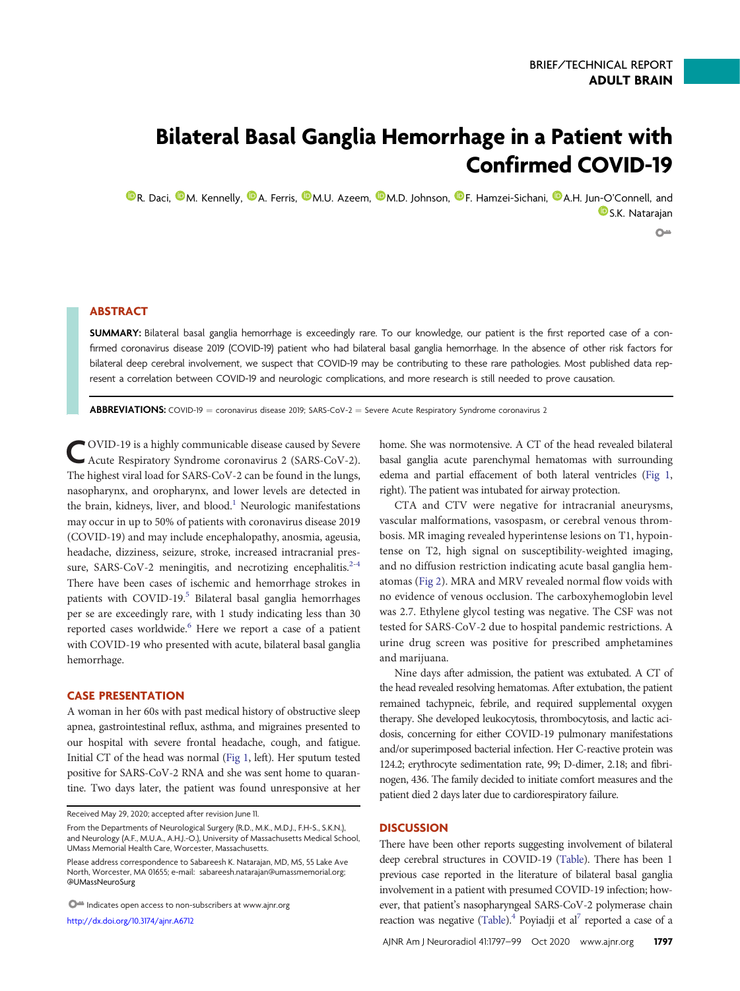# Bilateral Basal Ganglia Hemorrhage in a Patient with Confirmed COVID-19

**O[R. Daci,](https://orcid.org/0000-0003-3767-2284) O[M. Kennelly,](https://orcid.org/0000-0002-4282-2585) O[A. Ferris,](https://orcid.org/0000-0002-5709-8104) O[M.U. Azeem,](https://orcid.org/0000-0003-1345-6739) O[M.D. Johnson,](https://orcid.org/0000-0002-4010-2605) O[F. Hamzei-Sichani,](https://orcid.org/0000-0002-7688-9489) O[A.H. Jun-O](https://orcid.org/0000-0003-0667-2951)'Connell, and D**[S.K. Natarajan](https://orcid.org/0000-0001-6541-4640)  $O<sub>m</sub>$ 

## ABSTRACT

SUMMARY: Bilateral basal ganglia hemorrhage is exceedingly rare. To our knowledge, our patient is the first reported case of a confirmed coronavirus disease 2019 (COVID-19) patient who had bilateral basal ganglia hemorrhage. In the absence of other risk factors for bilateral deep cerebral involvement, we suspect that COVID-19 may be contributing to these rare pathologies. Most published data represent a correlation between COVID-19 and neurologic complications, and more research is still needed to prove causation.

**ABBREVIATIONS:** COVID-19 = coronavirus disease 2019; SARS-CoV-2 = Severe Acute Respiratory Syndrome coronavirus 2

COVID-19 is a highly communicable disease caused by Severe Acute Respiratory Syndrome coronavirus 2 (SARS-CoV-2). The highest viral load for SARS-CoV-2 can be found in the lungs, nasopharynx, and oropharynx, and lower levels are detected in the brain, kidneys, liver, and blood.<sup>[1](#page-2-0)</sup> Neurologic manifestations may occur in up to 50% of patients with coronavirus disease 2019 (COVID-19) and may include encephalopathy, anosmia, ageusia, headache, dizziness, seizure, stroke, increased intracranial pres-sure, SARS[-](#page-2-2)CoV-2 meningitis, and necrotizing encephalitis. $2-4$  $2-4$ There have been cases of ischemic and hemorrhage strokes in patients with COVID-19.<sup>[5](#page-2-4)</sup> Bilateral basal ganglia hemorrhages per se are exceedingly rare, with 1 study indicating less than 30 reported cases worldwide.<sup>6</sup> Here we report a case of a patient with COVID-19 who presented with acute, bilateral basal ganglia hemorrhage.

### CASE PRESENTATION

A woman in her 60s with past medical history of obstructive sleep apnea, gastrointestinal reflux, asthma, and migraines presented to our hospital with severe frontal headache, cough, and fatigue. Initial CT of the head was normal ([Fig 1](#page-1-0), left). Her sputum tested positive for SARS-CoV-2 RNA and she was sent home to quarantine. Two days later, the patient was found unresponsive at her

 $\bigcirc$  Indicates open access to non-subscribers at www.ajnr.org

<http://dx.doi.org/10.3174/ajnr.A6712>

home. She was normotensive. A CT of the head revealed bilateral basal ganglia acute parenchymal hematomas with surrounding edema and partial effacement of both lateral ventricles [\(Fig 1,](#page-1-0) right). The patient was intubated for airway protection.

CTA and CTV were negative for intracranial aneurysms, vascular malformations, vasospasm, or cerebral venous thrombosis. MR imaging revealed hyperintense lesions on T1, hypointense on T2, high signal on susceptibility-weighted imaging, and no diffusion restriction indicating acute basal ganglia hematomas [\(Fig 2](#page-1-1)). MRA and MRV revealed normal flow voids with no evidence of venous occlusion. The carboxyhemoglobin level was 2.7. Ethylene glycol testing was negative. The CSF was not tested for SARS-CoV-2 due to hospital pandemic restrictions. A urine drug screen was positive for prescribed amphetamines and marijuana.

Nine days after admission, the patient was extubated. A CT of the head revealed resolving hematomas. After extubation, the patient remained tachypneic, febrile, and required supplemental oxygen therapy. She developed leukocytosis, thrombocytosis, and lactic acidosis, concerning for either COVID-19 pulmonary manifestations and/or superimposed bacterial infection. Her C-reactive protein was 124.2; erythrocyte sedimentation rate, 99; D-dimer, 2.18; and fibrinogen, 436. The family decided to initiate comfort measures and the patient died 2 days later due to cardiorespiratory failure.

#### **DISCUSSION**

There have been other reports suggesting involvement of bilateral deep cerebral structures in COVID-19 [\(Table\)](#page-2-6). There has been 1 previous case reported in the literature of bilateral basal ganglia involvement in a patient with presumed COVID-19 infection; however, that patient's nasopharyngeal SARS-CoV-2 polymerase chain reaction was negative ([Table\)](#page-2-6).<sup>[4](#page-2-3)</sup> Poyiadji et al<sup>7</sup> reported a case of a

Received May 29, 2020; accepted after revision June 11.

From the Departments of Neurological Surgery (R.D., M.K., M.D.J., F.H-S., S.K.N.), and Neurology (A.F., M.U.A., A.H.J.-O.), University of Massachusetts Medical School, UMass Memorial Health Care, Worcester, Massachusetts.

Please address correspondence to Sabareesh K. Natarajan, MD, MS, 55 Lake Ave North, Worcester, MA 01655; e-mail: [sabareesh.natarajan@umassmemorial.org;](mailto:sabareesh.natarajan@umassmemorial.org) [@UMassNeuroSurg](https://mobile.twitter.com/UMassNeuroSurg)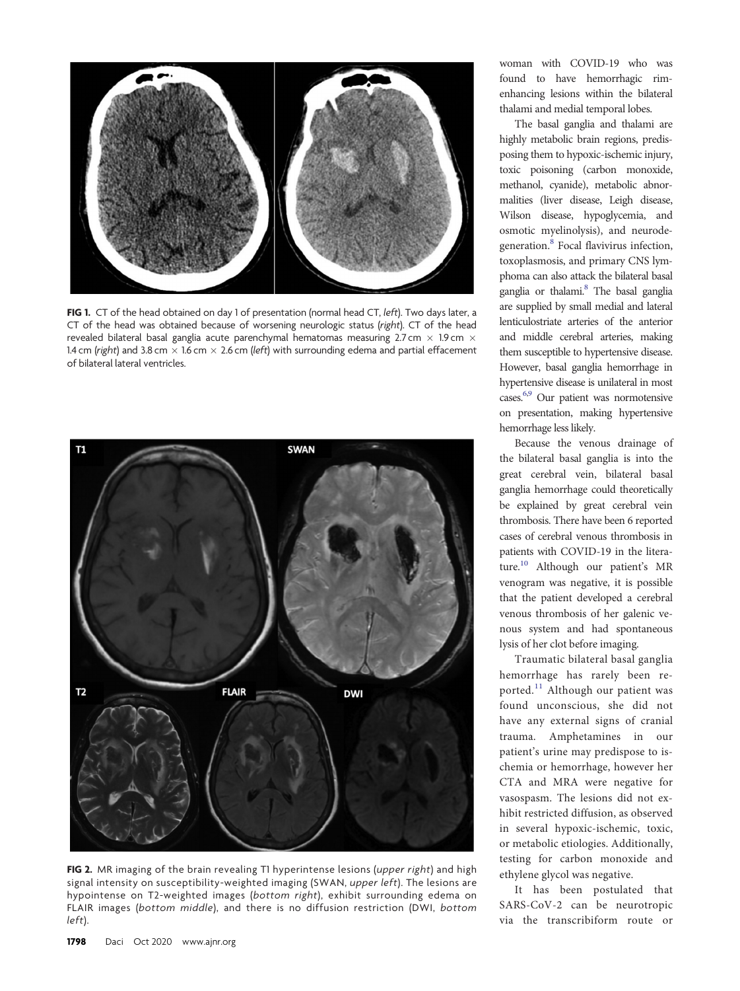

<span id="page-1-0"></span>FIG 1. CT of the head obtained on day 1 of presentation (normal head CT, left). Two days later, a CT of the head was obtained because of worsening neurologic status (right). CT of the head revealed bilateral basal ganglia acute parenchymal hematomas measuring 2.7 cm  $\times$  1.9 cm  $\times$ 1.4 cm (right) and 3.8 cm  $\times$  1.6 cm  $\times$  2.6 cm (left) with surrounding edema and partial effacement of bilateral lateral ventricles.



<span id="page-1-1"></span>FIG 2. MR imaging of the brain revealing T1 hyperintense lesions (upper right) and high signal intensity on susceptibility-weighted imaging (SWAN, upper left). The lesions are hypointense on T2-weighted images (bottom right), exhibit surrounding edema on FLAIR images (bottom middle), and there is no diffusion restriction (DWI, bottom left).

woman with COVID-19 who was found to have hemorrhagic rimenhancing lesions within the bilateral thalami and medial temporal lobes.

The basal ganglia and thalami are highly metabolic brain regions, predisposing them to hypoxic-ischemic injury, toxic poisoning (carbon monoxide, methanol, cyanide), metabolic abnormalities (liver disease, Leigh disease, Wilson disease, hypoglycemia, and osmotic myelinolysis), and neurodegeneration[.8](#page-2-8) Focal flavivirus infection, toxoplasmosis, and primary CNS lymphoma can also attack the bilateral basal ganglia or thalami.<sup>8</sup> The basal ganglia are supplied by small medial and lateral lenticulostriate arteries of the anterior and middle cerebral arteries, making them susceptible to hypertensive disease. However, basal ganglia hemorrhage in hypertensive disease is unilateral in most cases[.6](#page-2-5),[9](#page-2-9) Our patient was normotensive on presentation, making hypertensive hemorrhage less likely.

Because the venous drainage of the bilateral basal ganglia is into the great cerebral vein, bilateral basal ganglia hemorrhage could theoretically be explained by great cerebral vein thrombosis. There have been 6 reported cases of cerebral venous thrombosis in patients with COVID-19 in the literature[.10](#page-2-10) Although our patient's MR venogram was negative, it is possible that the patient developed a cerebral venous thrombosis of her galenic venous system and had spontaneous lysis of her clot before imaging.

Traumatic bilateral basal ganglia hemorrhage has rarely been reported.[11](#page-2-11) Although our patient was found unconscious, she did not have any external signs of cranial trauma. Amphetamines in our patient's urine may predispose to ischemia or hemorrhage, however her CTA and MRA were negative for vasospasm. The lesions did not exhibit restricted diffusion, as observed in several hypoxic-ischemic, toxic, or metabolic etiologies. Additionally, testing for carbon monoxide and ethylene glycol was negative.

It has been postulated that SARS-CoV-2 can be neurotropic via the transcribiform route or